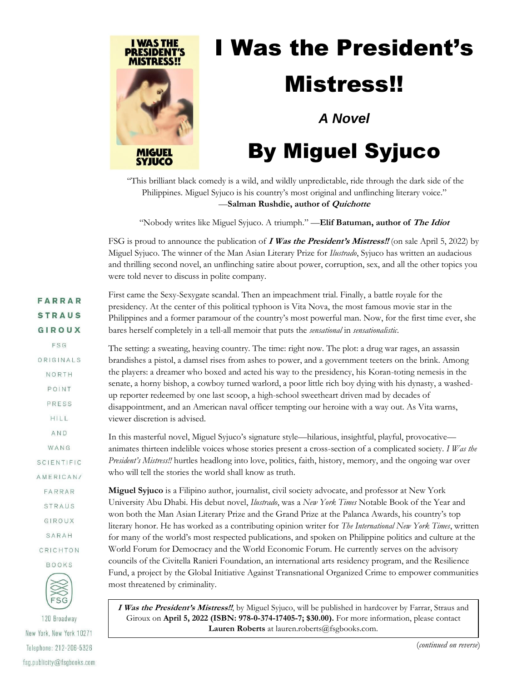

## I Was the President's Mistress!!

*A Novel*

## By Miguel Syjuco

"This brilliant black comedy is a wild, and wildly unpredictable, ride through the dark side of the Philippines. Miguel Syjuco is his country's most original and unflinching literary voice." —**Salman Rushdie, author of Quichotte**

"Nobody writes like Miguel Syjuco. A triumph." —**Elif Batuman, author of The Idiot**

FSG is proud to announce the publication of **I Was the President's Mistress!!** (on sale April 5, 2022) by Miguel Syjuco. The winner of the Man Asian Literary Prize for *Ilustrado*, Syjuco has written an audacious and thrilling second novel, an unflinching satire about power, corruption, sex, and all the other topics you were told never to discuss in polite company.

| <b>FARRAR</b><br><b>STRAUS</b>         | First came the Sexy-Sexygate scandal. Then an impeachment trial. Finally, a battle royale for the<br>presidency. At the center of this political typhoon is Vita Nova, the most famous movie star in the<br>Philippines and a former paramour of the country's most powerful man. Now, for the first time ever, she |
|----------------------------------------|---------------------------------------------------------------------------------------------------------------------------------------------------------------------------------------------------------------------------------------------------------------------------------------------------------------------|
| GIROUX                                 | bares herself completely in a tell-all memoir that puts the sensational in sensationalistic.                                                                                                                                                                                                                        |
| FSG                                    | The setting: a sweating, heaving country. The time: right now. The plot: a drug war rages, an assassin                                                                                                                                                                                                              |
| ORIGINALS                              | brandishes a pistol, a damsel rises from ashes to power, and a government teeters on the brink. Among                                                                                                                                                                                                               |
| NORTH                                  | the players: a dreamer who boxed and acted his way to the presidency, his Koran-toting nemesis in the                                                                                                                                                                                                               |
| POINT                                  | senate, a horny bishop, a cowboy turned warlord, a poor little rich boy dying with his dynasty, a washed-<br>up reporter redeemed by one last scoop, a high-school sweetheart driven mad by decades of                                                                                                              |
| <b>PRESS</b>                           | disappointment, and an American naval officer tempting our heroine with a way out. As Vita warns,                                                                                                                                                                                                                   |
| HILL                                   | viewer discretion is advised.                                                                                                                                                                                                                                                                                       |
| AND                                    | In this masterful novel, Miguel Syjuco's signature style-hilarious, insightful, playful, provocative-                                                                                                                                                                                                               |
| WANG                                   | animates thirteen indelible voices whose stories present a cross-section of a complicated society. I Was the                                                                                                                                                                                                        |
| SCIENTIFIC                             | President's Mistress!! hurtles headlong into love, politics, faith, history, memory, and the ongoing war over                                                                                                                                                                                                       |
| AMERICAN/                              | who will tell the stories the world shall know as truth.                                                                                                                                                                                                                                                            |
| FARRAR                                 | Miguel Syjuco is a Filipino author, journalist, civil society advocate, and professor at New York                                                                                                                                                                                                                   |
| STRAUS                                 | University Abu Dhabi. His debut novel, <i>Ilustrado</i> , was a New York Times Notable Book of the Year and                                                                                                                                                                                                         |
| GIROUX                                 | won both the Man Asian Literary Prize and the Grand Prize at the Palanca Awards, his country's top<br>literary honor. He has worked as a contributing opinion writer for The International New York Times, written                                                                                                  |
| SARAH                                  | for many of the world's most respected publications, and spoken on Philippine politics and culture at the                                                                                                                                                                                                           |
| CRICHTON                               | World Forum for Democracy and the World Economic Forum. He currently serves on the advisory                                                                                                                                                                                                                         |
| <b>BOOKS</b>                           | councils of the Civitella Ranieri Foundation, an international arts residency program, and the Resilience                                                                                                                                                                                                           |
|                                        | Fund, a project by the Global Initiative Against Transnational Organized Crime to empower communities                                                                                                                                                                                                               |
| $\begin{matrix} 1 \\ FSG \end{matrix}$ | most threatened by criminality.                                                                                                                                                                                                                                                                                     |
|                                        | I Was the President's Mistress!!, by Miguel Syjuco, will be published in hardcover by Farrar, Straus and                                                                                                                                                                                                            |

120 Broadway New York, New York 10271 Telephone: 212-206-5326 fsg.publicity@fsgbooks.com **I Was the President's Mistress!!**, by Miguel Syjuco, will be published in hardcover by Farrar, Straus and Giroux on **April 5, 2022 (ISBN: 978-0-374-17405-7; \$30.00).** For more information, please contact **Lauren Roberts** at lauren.roberts@fsgbooks.com.

(*continued on reverse*)